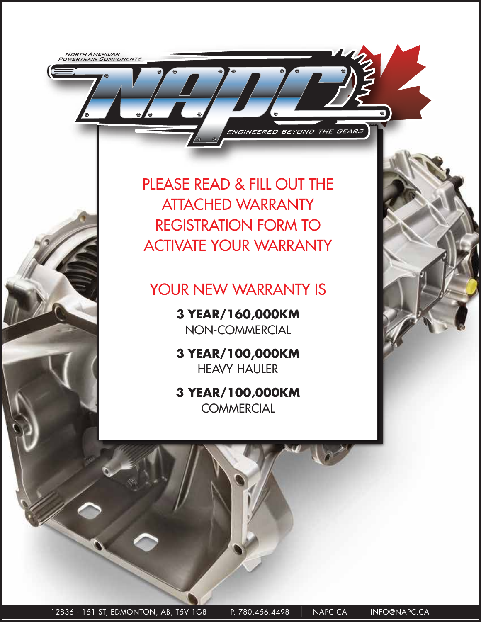NORTH AMERICAN<br>POWERTRAIN COMPONENTS

PLEASE READ & FILL OUT THE ATTACHED WARRANTY REGISTRATION FORM TO ACTIVATE YOUR WARRANTY

ENGINEERED BEYOND THE GEARS

 $\bullet$ 

## YOUR NEW WARRANTY IS

**3 YEAR/160,000KM**  NON-COMMERCIAL

**3 YEAR/100,000KM**  HEAVY HAULER

**3 YEAR/100,000KM COMMERCIAL** 

 $\left[12836$  - 151 ST, EDMONTON, AB, T5V  $\left.1\text{G8}\right.\right.\left.\left.\right.\left.\right. - \left.\text{P. 780.456.4498}\right.\left.\left.\right. - \left.\text{NAPC.CA}\right.\left.\right.\right.\left.\right.\left.\right. - \left.\text{NFPO@NAPC.CA}\right.\left.\right)$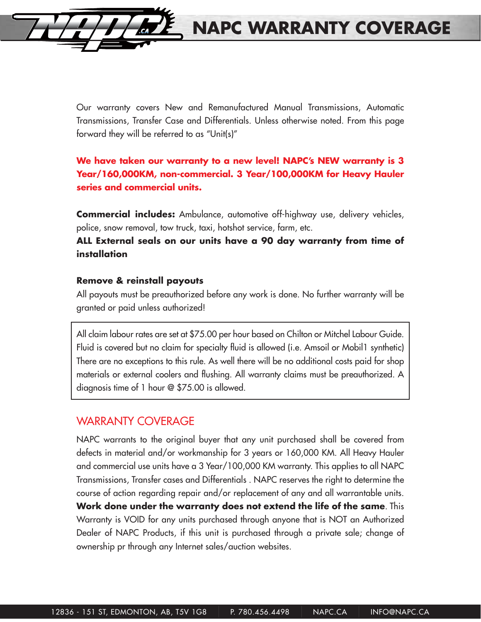Our warranty covers New and Remanufactured Manual Transmissions, Automatic Transmissions, Transfer Case and Differentials. Unless otherwise noted. From this page forward they will be referred to as "Unit(s)"

**NAPC WARRANTY COVERAGE**

## **We have taken our warranty to a new level! NAPC's NEW warranty is 3 Year/160,000KM, non-commercial. 3 Year/100,000KM for Heavy Hauler series and commercial units.**

**Commercial includes:** Ambulance, automotive off-highway use, delivery vehicles, police, snow removal, tow truck, taxi, hotshot service, farm, etc.

## **ALL External seals on our units have a 90 day warranty from time of installation**

#### **Remove & reinstall payouts**

All payouts must be preauthorized before any work is done. No further warranty will be granted or paid unless authorized!

All claim labour rates are set at \$75.00 per hour based on Chilton or Mitchel Labour Guide. Fluid is covered but no claim for specialty fluid is allowed (i.e. Amsoil or Mobil1 synthetic) There are no exceptions to this rule. As well there will be no additional costs paid for shop materials or external coolers and flushing. All warranty claims must be preauthorized. A diagnosis time of 1 hour @ \$75.00 is allowed.

## WARRANTY COVERAGE

NAPC warrants to the original buyer that any unit purchased shall be covered from defects in material and/or workmanship for 3 years or 160,000 KM. All Heavy Hauler and commercial use units have a 3 Year/100,000 KM warranty. This applies to all NAPC Transmissions, Transfer cases and Differentials . NAPC reserves the right to determine the course of action regarding repair and/or replacement of any and all warrantable units. **Work done under the warranty does not extend the life of the same**. This Warranty is VOID for any units purchased through anyone that is NOT an Authorized Dealer of NAPC Products, if this unit is purchased through a private sale; change of ownership pr through any Internet sales/auction websites.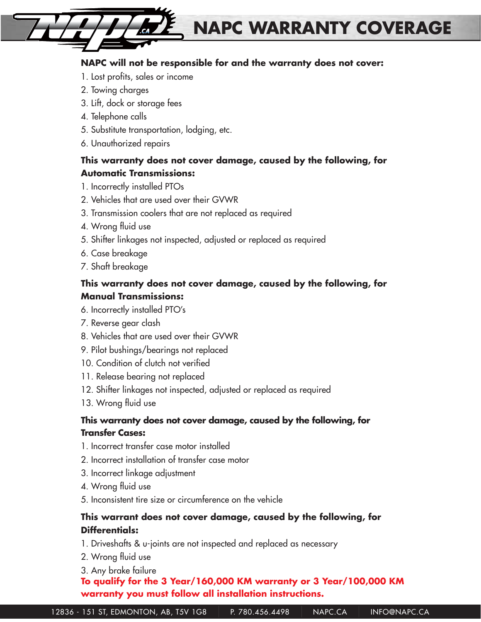## **NAPC will not be responsible for and the warranty does not cover:**

**NAPC WARRANTY COVERAGE**

- 1. Lost profits, sales or income
- 2. Towing charges
- 3. Lift, dock or storage fees
- 4. Telephone calls
- 5. Substitute transportation, lodging, etc.
- 6. Unauthorized repairs

## **This warranty does not cover damage, caused by the following, for Automatic Transmissions:**

- 1. Incorrectly installed PTOs
- 2. Vehicles that are used over their GVWR
- 3. Transmission coolers that are not replaced as required
- 4. Wrong fluid use
- 5. Shifter linkages not inspected, adjusted or replaced as required
- 6. Case breakage
- 7. Shaft breakage

## **This warranty does not cover damage, caused by the following, for Manual Transmissions:**

- 6. Incorrectly installed PTO's
- 7. Reverse gear clash
- 8. Vehicles that are used over their GVWR
- 9. Pilot bushings/bearings not replaced
- 10. Condition of clutch not verified
- 11. Release bearing not replaced
- 12. Shifter linkages not inspected, adjusted or replaced as required
- 13. Wrong fluid use

#### **This warranty does not cover damage, caused by the following, for Transfer Cases:**

- 1. Incorrect transfer case motor installed
- 2. Incorrect installation of transfer case motor
- 3. Incorrect linkage adjustment
- 4. Wrong fluid use
- 5. Inconsistent tire size or circumference on the vehicle

## **This warrant does not cover damage, caused by the following, for Differentials:**

- 1. Driveshafts & u-joints are not inspected and replaced as necessary
- 2. Wrong fluid use
- 3. Any brake failure

## **To qualify for the 3 Year/160,000 KM warranty or 3 Year/100,000 KM warranty you must follow all installation instructions.**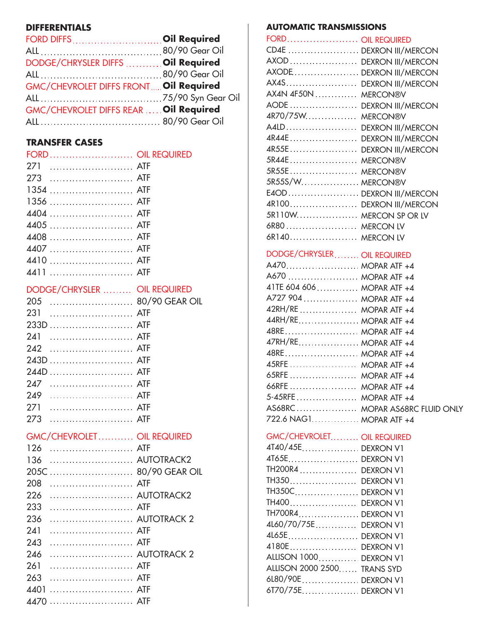## **DIFFERENTIALS**

| FORD DIFFS  Oil Required               |  |
|----------------------------------------|--|
|                                        |  |
| DODGE/CHRYSLER DIFFS  Oil Required     |  |
|                                        |  |
| GMC/CHEVROLET DIFFS FRONT Oil Required |  |
|                                        |  |
| GMC/CHEVROLET DIFFS REAR  Oil Required |  |
|                                        |  |
|                                        |  |

#### **TRANSFER CASES**

| FORD  OIL REQUIRED |  |
|--------------------|--|
| 271  ATF           |  |
|                    |  |
|                    |  |
|                    |  |
|                    |  |
|                    |  |
| 4408  ATF          |  |
|                    |  |
|                    |  |
|                    |  |
| $R = R - R$        |  |

| DODGE/CHRYSLER  OIL REQUIRED |  |
|------------------------------|--|
| 80/90 GEAR OIL<br>205        |  |
| 231                          |  |
| 233D  ATF                    |  |
| 241                          |  |
|                              |  |
|                              |  |
|                              |  |
| 247  ATF                     |  |
|                              |  |
| 271                          |  |
| ATF<br>273                   |  |
| GMC/CHEVROLET OIL REQUIRED   |  |
| 126  ATF                     |  |
| 136  AUTOTRACK2              |  |
| 205C  80/90 GEAR OIL         |  |
| 208                          |  |
| AUTOTRACK2<br>226            |  |
|                              |  |
| 236  AUTOTRACK 2             |  |
| 241                          |  |
| 243                          |  |
| 246  AUTOTRACK 2             |  |
| 261                          |  |
| 263                          |  |
| 4401  ATF                    |  |
| 4470  ATF                    |  |

#### **AUTOMATIC TRANSMISSIONS**

| FORD OIL REQUIRED           |                                |
|-----------------------------|--------------------------------|
| CD4E  DEXRON III/MERCON     |                                |
| AXOD  DEXRON III/MERCON     |                                |
| AXODE  DEXRON III/MERCON    |                                |
| AX4S DEXRON III/MERCON      |                                |
| AX4N 4F50N  MERCON®V        |                                |
| AODE  DEXRON III/MERCON     |                                |
| 4R70/75W MERCON®V           |                                |
| A4LD DEXRON III/MERCON      |                                |
| 4R44E DEXRON III/MERCON     |                                |
| 4R55E DEXRON III/MERCON     |                                |
| 5R44E MERCON®V              |                                |
| 5R55E MERCON®V              |                                |
| 5R55S/W MERCON®V            |                                |
| E4OD DEXRON III/MERCON      |                                |
| 4R100 DEXRON III/MERCON     |                                |
| 5R110W MERCON SP OR LV      |                                |
| 6R80  MERCON LV             |                                |
| 6R140 MERCON LV             |                                |
|                             |                                |
| DODGE/CHRYSLER OIL REQUIRED |                                |
| A470 MOPAR ATF +4           |                                |
| A670  MOPAR ATF +4          |                                |
| 41TE 604 606  MOPAR ATF +4  |                                |
| A727 904  MOPAR ATF +4      |                                |
| 42RH/RE  MOPAR ATF +4       |                                |
| 44RH/RE MOPAR ATF +4        |                                |
| 48RE MOPAR ATF +4           |                                |
| 47RH/RE MOPAR ATF +4        |                                |
| 48RE MOPAR ATF +4           |                                |
| 45RFE  MOPAR ATF +4         |                                |
| 65RFE  MOPAR ATF +4         |                                |
| 66RFE  MOPAR ATF +4         |                                |
| 5-45RFE MOPAR ATF +4        |                                |
|                             | AS68RC MOPAR AS68RC FLUID ONLY |
| 722.6 NAG1 MOPAR ATF +4     |                                |
| GMC/CHEVROLET OIL REQUIRED  |                                |
| 4T40/45EDEXRON V1           |                                |
| 4T65E DEXRON V1             |                                |
| TH200R4  DEXRON V1          |                                |
| TH350 DEXRON V1             |                                |
| TH350C DEXRON V1            |                                |
| TH400 DEXRON V1             |                                |
| TH700R4 DEXRON V1           |                                |
| 4L60/70/75E DEXRON V1       |                                |
| 4L65E DEXRON V1             |                                |
| 4180E DEXRON V1             |                                |
| ALLISON 1000 DEXRON V1      |                                |
| ALLISON 2000 2500 TRANS SYD |                                |
| 6L80/90EDEXRON V1           |                                |
| 6T70/75EDEXRON V1           |                                |
|                             |                                |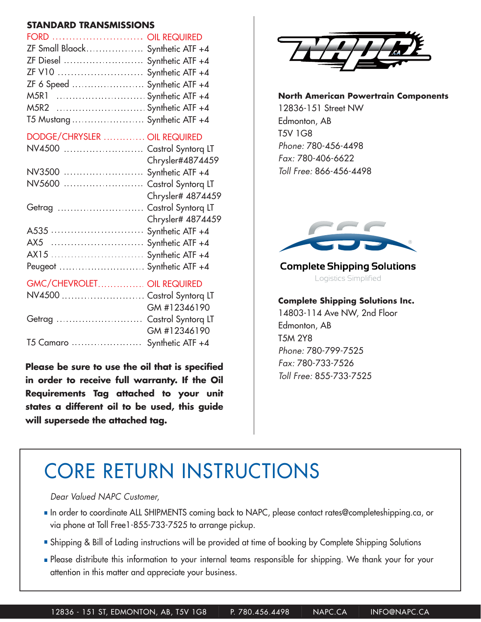| <b>STANDARD TRANSMISSIONS</b>          |                   |  |
|----------------------------------------|-------------------|--|
| FORD  OIL REQUIRED                     |                   |  |
| ZF Small Blaock Synthetic ATF +4       |                   |  |
| ZF Diesel  Synthetic ATF +4            |                   |  |
| ZF V10  Synthetic ATF +4               |                   |  |
| ZF 6 Speed $\ldots$ Synthetic ATF $+4$ |                   |  |
| M5R1  Synthetic ATF +4                 |                   |  |
| M5R2  Synthetic ATF +4                 |                   |  |
| T5 Mustang  Synthetic ATF +4           |                   |  |
| DODGE/CHRYSLER  OIL REQUIRED           |                   |  |
| NV4500  Castrol Syntorq LT             |                   |  |
|                                        | Chrysler#4874459  |  |
| NV3500  Synthetic ATF +4               |                   |  |
| NV5600  Castrol Syntorq LT             |                   |  |
|                                        | Chrysler# 4874459 |  |
| Getrag  Castrol Syntorq LT             |                   |  |
|                                        | Chrysler# 4874459 |  |
|                                        |                   |  |
| AX5                                    | Synthetic ATF +4  |  |
| AX15                                   | Synthetic ATF +4  |  |
| Peugeot                                | Synthetic ATF +4  |  |
| GMC/CHEVROLET OIL REQUIRED             |                   |  |
| NV4500  Castrol Syntorq LT             |                   |  |
|                                        | GM #12346190      |  |
| Getrag  Castrol Syntorq LT             |                   |  |
|                                        | GM #12346190      |  |

**Please be sure to use the oil that is specified in order to receive full warranty. If the Oil Requirements Tag attached to your unit states a different oil to be used, this guide will supersede the attached tag.**

T5 Camaro Synthetic ATF +4



#### **North American Powertrain Components**

12836-151 Street NW Edmonton, AB T5V 1G8 *Phone:* 780-456-4498 *Fax:* 780-406-6622 *Toll Free:* 866-456-4498



#### **Complete Shipping Solutions** Logistics Simplified

#### **Complete Shipping Solutions Inc.**

14803-114 Ave NW, 2nd Floor Edmonton, AB T5M 2Y8 *Phone:* 780-799-7525 *Fax:* 780-733-7526 *Toll Free:* 855-733-7525

# CORE RETURN INSTRUCTIONS

#### *Dear Valued NAPC Customer,*

- In order to coordinate ALL SHIPMENTS coming back to NAPC, please contact rates@completeshipping.ca, or via phone at Toll Free1-855-733-7525 to arrange pickup.
- Shipping & Bill of Lading instructions will be provided at time of booking by Complete Shipping Solutions
- **Please distribute this information to your internal teams responsible for shipping. We thank your for your** attention in this matter and appreciate your business.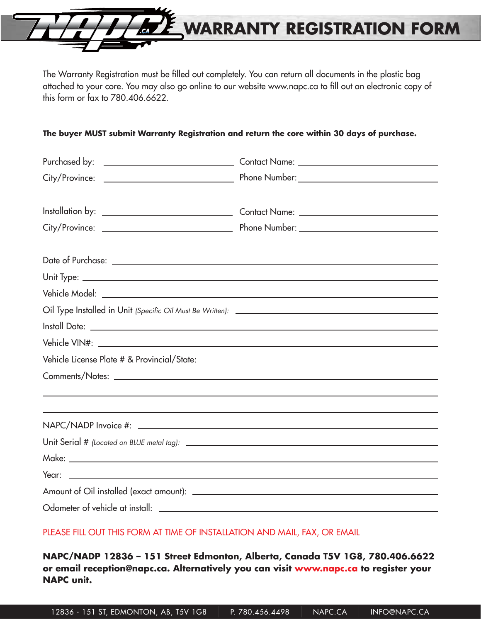

The Warranty Registration must be filled out completely. You can return all documents in the plastic bag attached to your core. You may also go online to our website www.napc.ca to fill out an electronic copy of this form or fax to 780.406.6622.

#### **The buyer MUST submit Warranty Registration and return the core within 30 days of purchase.**

| ,我们也不会有什么?""我们的人,我们也不会有什么?""我们的人,我们也不会有什么?""我们的人,我们也不会有什么?""我们的人,我们也不会有什么?""我们的人                                                                                                                                               |
|--------------------------------------------------------------------------------------------------------------------------------------------------------------------------------------------------------------------------------|
| ,我们也不会有什么。""我们的人,我们也不会有什么?""我们的人,我们也不会有什么?""我们的人,我们也不会有什么?""我们的人,我们也不会有什么?""我们的人                                                                                                                                               |
|                                                                                                                                                                                                                                |
|                                                                                                                                                                                                                                |
|                                                                                                                                                                                                                                |
|                                                                                                                                                                                                                                |
| Amount of Oil installed (exact amount): \\espirit \\espirit \\espirit \\espirit \\espirit \\espirit \\espirit \\espirit \\espirit \\espirit \\espirit \\espirit \\espirit \\espirit \\espirit \\espirit \\espirit \\espirit \\ |
| Odometer of vehicle at install: \\omega_{\sigma_{\sigma_{\sigma_{\sigma_{\sigma_{\sigma_{\sigma_{\sigma_{\sigma_{\sigma_{\sigma_{\sigma_{\sigma_{\sigma_{\sigma_{\sigma_{\sigma_{\sigma_{\sigma_{\sigma_{\sigma_{\sigma_{\sigm |
|                                                                                                                                                                                                                                |

#### PLEASE FILL OUT THIS FORM AT TIME OF INSTALLATION AND MAIL, FAX, OR EMAIL

**NAPC/NADP 12836 – 151 Street Edmonton, Alberta, Canada T5V 1G8, 780.406.6622 or email reception@napc.ca. Alternatively you can visit www.napc.ca to register your NAPC unit.**

12836 - 151 ST, EDMONTON, AB, T5V 1G8 | P. 780.456.4498 | NAPC.CA | INFO@NAPC.CA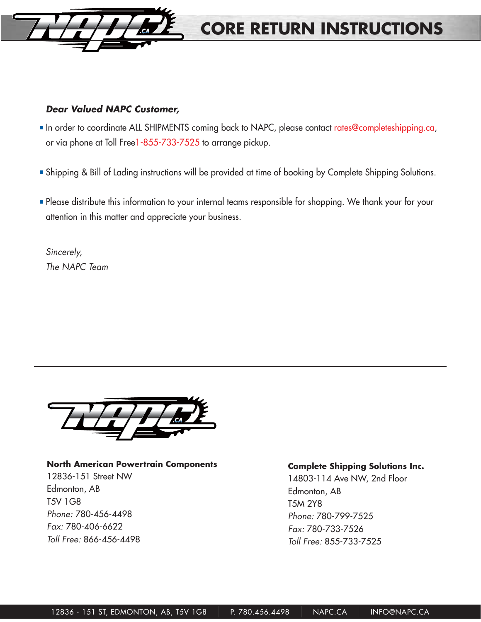

## **CORE RETURN INSTRUCTIONS**

#### *Dear Valued NAPC Customer,*

- In order to coordinate ALL SHIPMENTS coming back to NAPC, please contact rates@completeshipping.ca, or via phone at Toll Free1-855-733-7525 to arrange pickup.
- Shipping & Bill of Lading instructions will be provided at time of booking by Complete Shipping Solutions.
- **Please distribute this information to your internal teams responsible for shopping. We thank your for your** attention in this matter and appreciate your business.

*Sincerely, The NAPC Team*



#### **North American Powertrain Components**

12836-151 Street NW Edmonton, AB T5V 1G8 *Phone:* 780-456-4498 *Fax:* 780-406-6622 *Toll Free:* 866-456-4498

#### **Complete Shipping Solutions Inc.**

14803-114 Ave NW, 2nd Floor Edmonton, AB T5M 2Y8 *Phone:* 780-799-7525 *Fax:* 780-733-7526 *Toll Free:* 855-733-7525